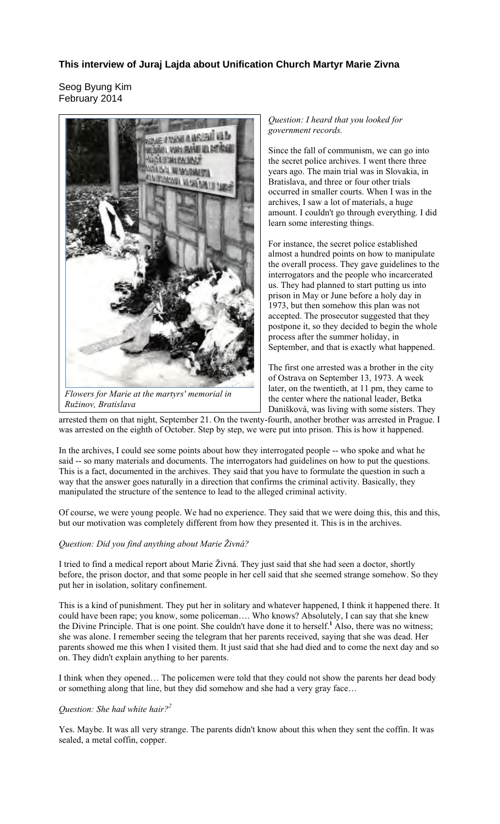# **This interview of Juraj Lajda about Unification Church Martyr Marie Zivna**

Seog Byung Kim February 2014



*Flowers for Marie at the martyrs' memorial in Ružinov, Bratislava*

*Question: I heard that you looked for government records.* 

Since the fall of communism, we can go into the secret police archives. I went there three years ago. The main trial was in Slovakia, in Bratislava, and three or four other trials occurred in smaller courts. When I was in the archives, I saw a lot of materials, a huge amount. I couldn't go through everything. I did learn some interesting things.

For instance, the secret police established almost a hundred points on how to manipulate the overall process. They gave guidelines to the interrogators and the people who incarcerated us. They had planned to start putting us into prison in May or June before a holy day in 1973, but then somehow this plan was not accepted. The prosecutor suggested that they postpone it, so they decided to begin the whole process after the summer holiday, in September, and that is exactly what happened.

The first one arrested was a brother in the city of Ostrava on September 13, 1973. A week later, on the twentieth, at 11 pm, they came to the center where the national leader, Betka Danišková, was living with some sisters. They

arrested them on that night, September 21. On the twenty-fourth, another brother was arrested in Prague. I was arrested on the eighth of October. Step by step, we were put into prison. This is how it happened.

In the archives, I could see some points about how they interrogated people -- who spoke and what he said -- so many materials and documents. The interrogators had guidelines on how to put the questions. This is a fact, documented in the archives. They said that you have to formulate the question in such a way that the answer goes naturally in a direction that confirms the criminal activity. Basically, they manipulated the structure of the sentence to lead to the alleged criminal activity.

Of course, we were young people. We had no experience. They said that we were doing this, this and this, but our motivation was completely different from how they presented it. This is in the archives.

## *Question: Did you find anything about Marie Živná?*

I tried to find a medical report about Marie Živná. They just said that she had seen a doctor, shortly before, the prison doctor, and that some people in her cell said that she seemed strange somehow. So they put her in isolation, solitary confinement.

This is a kind of punishment. They put her in solitary and whatever happened, I think it happened there. It could have been rape; you know, some policeman…. Who knows? Absolutely, I can say that she knew the Divine Principle. That is one point. She couldn't have done it to herself.**<sup>1</sup>** Also, there was no witness; she was alone. I remember seeing the telegram that her parents received, saying that she was dead. Her parents showed me this when I visited them. It just said that she had died and to come the next day and so on. They didn't explain anything to her parents.

I think when they opened… The policemen were told that they could not show the parents her dead body or something along that line, but they did somehow and she had a very gray face…

## *Question: She had white hair?<sup>2</sup>*

Yes. Maybe. It was all very strange. The parents didn't know about this when they sent the coffin. It was sealed, a metal coffin, copper.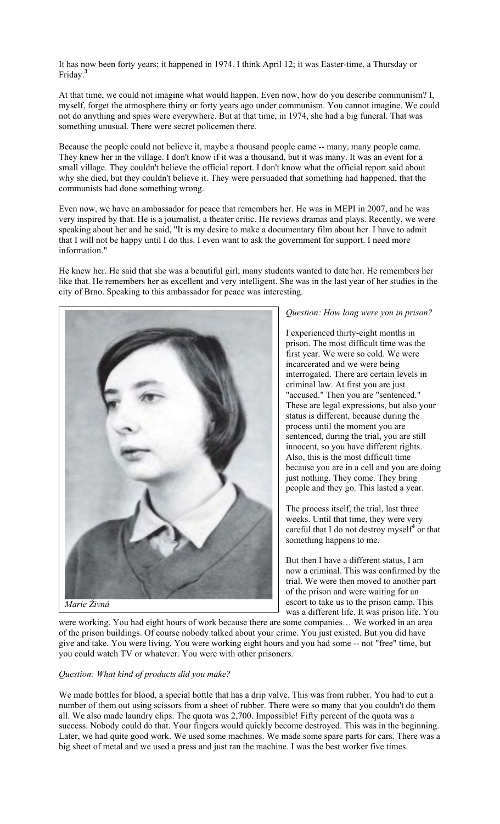It has now been forty years; it happened in 1974. I think April 12; it was Easter-time, a Thursday or Friday.**<sup>3</sup>**

At that time, we could not imagine what would happen. Even now, how do you describe communism? I, myself, forget the atmosphere thirty or forty years ago under communism. You cannot imagine. We could not do anything and spies were everywhere. But at that time, in 1974, she had a big funeral. That was something unusual. There were secret policemen there.

Because the people could not believe it, maybe a thousand people came -- many, many people came. They knew her in the village. I don't know if it was a thousand, but it was many. It was an event for a small village. They couldn't believe the official report. I don't know what the official report said about why she died, but they couldn't believe it. They were persuaded that something had happened, that the communists had done something wrong.

Even now, we have an ambassador for peace that remembers her. He was in MEPI in 2007, and he was very inspired by that. He is a journalist, a theater critic. He reviews dramas and plays. Recently, we were speaking about her and he said, "It is my desire to make a documentary film about her. I have to admit that I will not be happy until I do this. I even want to ask the government for support. I need more information."

He knew her. He said that she was a beautiful girl; many students wanted to date her. He remembers her like that. He remembers her as excellent and very intelligent. She was in the last year of her studies in the city of Brno. Speaking to this ambassador for peace was interesting.



### *Question: How long were you in prison?*

I experienced thirty-eight months in prison. The most difficult time was the first year. We were so cold. We were incarcerated and we were being interrogated. There are certain levels in criminal law. At first you are just "accused." Then you are "sentenced." These are legal expressions, but also your status is different, because during the process until the moment you are sentenced, during the trial, you are still innocent, so you have different rights. Also, this is the most difficult time because you are in a cell and you are doing just nothing. They come. They bring people and they go. This lasted a year.

The process itself, the trial, last three weeks. Until that time, they were very careful that I do not destroy myself**<sup>4</sup>** or that something happens to me.

But then I have a different status, I am now a criminal. This was confirmed by the trial. We were then moved to another part of the prison and were waiting for an escort to take us to the prison camp. This was a different life. It was prison life. You

were working. You had eight hours of work because there are some companies… We worked in an area of the prison buildings. Of course nobody talked about your crime. You just existed. But you did have give and take. You were living. You were working eight hours and you had some -- not "free" time, but you could watch TV or whatever. You were with other prisoners.

#### *Question: What kind of products did you make?*

We made bottles for blood, a special bottle that has a drip valve. This was from rubber. You had to cut a number of them out using scissors from a sheet of rubber. There were so many that you couldn't do them all. We also made laundry clips. The quota was 2,700. Impossible! Fifty percent of the quota was a success. Nobody could do that. Your fingers would quickly become destroyed. This was in the beginning. Later, we had quite good work. We used some machines. We made some spare parts for cars. There was a big sheet of metal and we used a press and just ran the machine. I was the best worker five times.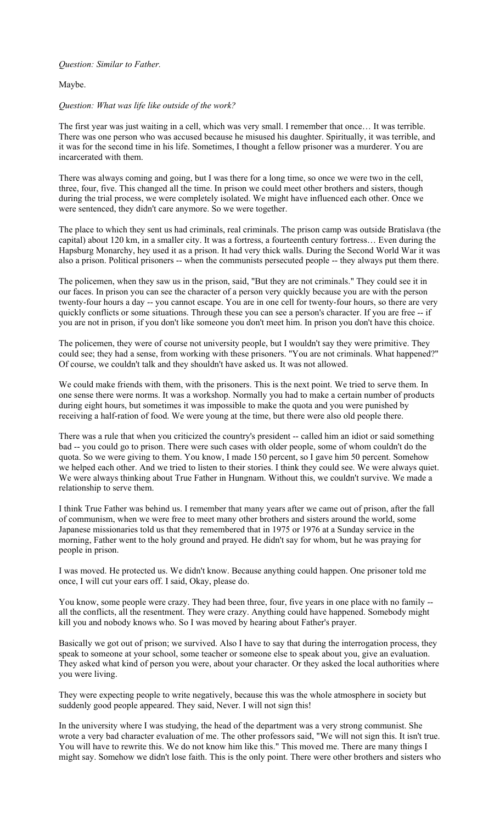## *Question: Similar to Father.*

#### Maybe.

#### *Question: What was life like outside of the work?*

The first year was just waiting in a cell, which was very small. I remember that once… It was terrible. There was one person who was accused because he misused his daughter. Spiritually, it was terrible, and it was for the second time in his life. Sometimes, I thought a fellow prisoner was a murderer. You are incarcerated with them.

There was always coming and going, but I was there for a long time, so once we were two in the cell, three, four, five. This changed all the time. In prison we could meet other brothers and sisters, though during the trial process, we were completely isolated. We might have influenced each other. Once we were sentenced, they didn't care anymore. So we were together.

The place to which they sent us had criminals, real criminals. The prison camp was outside Bratislava (the capital) about 120 km, in a smaller city. It was a fortress, a fourteenth century fortress… Even during the Hapsburg Monarchy, hey used it as a prison. It had very thick walls. During the Second World War it was also a prison. Political prisoners -- when the communists persecuted people -- they always put them there.

The policemen, when they saw us in the prison, said, "But they are not criminals." They could see it in our faces. In prison you can see the character of a person very quickly because you are with the person twenty-four hours a day -- you cannot escape. You are in one cell for twenty-four hours, so there are very quickly conflicts or some situations. Through these you can see a person's character. If you are free -- if you are not in prison, if you don't like someone you don't meet him. In prison you don't have this choice.

The policemen, they were of course not university people, but I wouldn't say they were primitive. They could see; they had a sense, from working with these prisoners. "You are not criminals. What happened?" Of course, we couldn't talk and they shouldn't have asked us. It was not allowed.

We could make friends with them, with the prisoners. This is the next point. We tried to serve them. In one sense there were norms. It was a workshop. Normally you had to make a certain number of products during eight hours, but sometimes it was impossible to make the quota and you were punished by receiving a half-ration of food. We were young at the time, but there were also old people there.

There was a rule that when you criticized the country's president -- called him an idiot or said something bad -- you could go to prison. There were such cases with older people, some of whom couldn't do the quota. So we were giving to them. You know, I made 150 percent, so I gave him 50 percent. Somehow we helped each other. And we tried to listen to their stories. I think they could see. We were always quiet. We were always thinking about True Father in Hungnam. Without this, we couldn't survive. We made a relationship to serve them.

I think True Father was behind us. I remember that many years after we came out of prison, after the fall of communism, when we were free to meet many other brothers and sisters around the world, some Japanese missionaries told us that they remembered that in 1975 or 1976 at a Sunday service in the morning, Father went to the holy ground and prayed. He didn't say for whom, but he was praying for people in prison.

I was moved. He protected us. We didn't know. Because anything could happen. One prisoner told me once, I will cut your ears off. I said, Okay, please do.

You know, some people were crazy. They had been three, four, five years in one place with no family - all the conflicts, all the resentment. They were crazy. Anything could have happened. Somebody might kill you and nobody knows who. So I was moved by hearing about Father's prayer.

Basically we got out of prison; we survived. Also I have to say that during the interrogation process, they speak to someone at your school, some teacher or someone else to speak about you, give an evaluation. They asked what kind of person you were, about your character. Or they asked the local authorities where you were living.

They were expecting people to write negatively, because this was the whole atmosphere in society but suddenly good people appeared. They said, Never. I will not sign this!

In the university where I was studying, the head of the department was a very strong communist. She wrote a very bad character evaluation of me. The other professors said, "We will not sign this. It isn't true. You will have to rewrite this. We do not know him like this." This moved me. There are many things I might say. Somehow we didn't lose faith. This is the only point. There were other brothers and sisters who